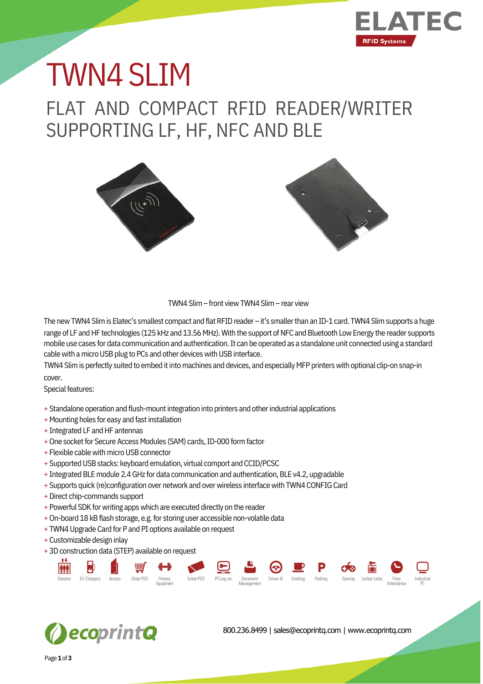

## FLAT AND COMPACT RFID READER/WRITER SUPPORTING LF, HF, NFC AND BLE TWN4 SLIM





TWN4 Slim– front viewTWN4 Slim– rear view

The new TWN4 Slim is Elatec's smallest compact and flat RFID reader – it's smaller than an ID-1 card. TWN4 Slim supports a huge range of LF and HF technologies (125 kHz and 13.56 MHz). With the support of NFC and Bluetooth Low Energy the reader supports mobile use cases for data communication and authentication.It can be operated as a standalone unit connected using a standard cable with a micro USB plug to PCs and other devices with USB interface.

TWN4 Slim is perfectly suited to embed it into machines and devices, and especially MFP printers with optional clip-on snap-in cover.

Special features:

- + Standalone operation and flush-mount integration into printers and other industrial applications
- + Mounting holes for easy and fast installation
- + Integrated LF and HF antennas
- + One socket for Secure Access Modules (SAM) cards, ID-000 form factor
- + Flexible cable with micro USB connector
- + Supported USB stacks: keyboard emulation, virtual comport and CCID/PCSC
- + Integrated BLE module 2.4 GHz for data communication and authentication, BLE v4.2, upgradable
- + Supports quick (re)configuration over network and overwireless interfacewith TWN4 CONFIGCard
- +Direct chip-commands support
- + Powerful SDK for writing apps which are executed directly on the reader
- + On-board 18 kB flash storage, e.g. for storing user accessible non-volatile data
- + TWN4 Upgrade Card for P and PI options available on request
- + Customizable design inlay
- + 3Dconstruction data (STEP) available on request





800.236.8499 | sales@ecoprintq.com | www.ecoprintq.com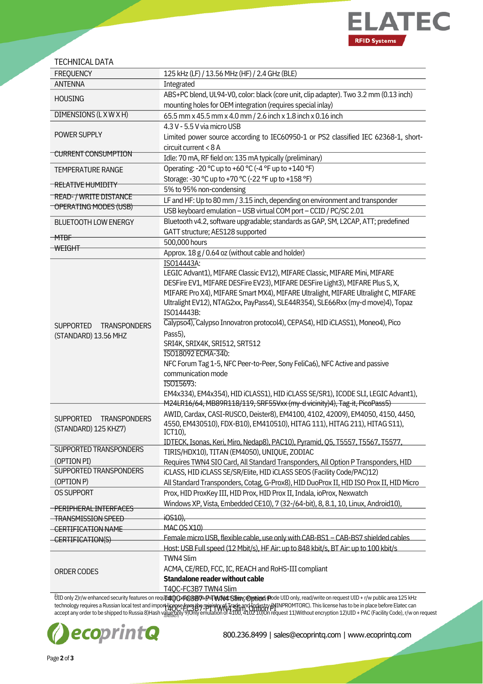

| <b>TECHNICAL DATA</b>                                           |                                                                                                                                                                    |
|-----------------------------------------------------------------|--------------------------------------------------------------------------------------------------------------------------------------------------------------------|
| <b>FREQUENCY</b>                                                | 125 kHz (LF) / 13.56 MHz (HF) / 2.4 GHz (BLE)                                                                                                                      |
| <b>ANTENNA</b>                                                  | Integrated                                                                                                                                                         |
| <b>HOUSING</b>                                                  | ABS+PC blend, UL94-V0, color: black (core unit, clip adapter). Two 3.2 mm (0.13 inch)                                                                              |
|                                                                 | mounting holes for OEM integration (requires special inlay)                                                                                                        |
| DIMENSIONS (LXWXH)                                              | 65.5 mm x 45.5 mm x 4.0 mm / 2.6 inch x 1.8 inch x 0.16 inch                                                                                                       |
|                                                                 | 4.3 V - 5.5 V via micro USB                                                                                                                                        |
| POWER SUPPLY                                                    | Limited power source according to IEC60950-1 or PS2 classified IEC 62368-1, short-                                                                                 |
|                                                                 | circuit current < 8 A                                                                                                                                              |
| <b>CURRENT CONSUMPTION</b>                                      | Idle: 70 mA, RF field on: 135 mA typically (preliminary)                                                                                                           |
| <b>TEMPERATURE RANGE</b>                                        | Operating: -20 °C up to +60 °C (-4 °F up to +140 °F)                                                                                                               |
|                                                                 | Storage: -30 °C up to +70 °C (-22 °F up to +158 °F)                                                                                                                |
| <del>- RELATIVE HUMIDITY</del>                                  | 5% to 95% non-condensing                                                                                                                                           |
| READ- / WRITE DISTANCE                                          | LF and HF: Up to 80 mm / 3.15 inch, depending on environment and transponder                                                                                       |
| OPERATING MODES (USB)                                           | USB keyboard emulation - USB virtual COM port - CCID / PC/SC 2.01                                                                                                  |
| <b>BLUETOOTH LOW ENERGY</b>                                     | Bluetooth v4.2, software upgradable; standards as GAP, SM, L2CAP, ATT; predefined                                                                                  |
|                                                                 | GATT structure; AES128 supported                                                                                                                                   |
| $-MTBF$                                                         | 500,000 hours                                                                                                                                                      |
| <b>WEIGHT</b>                                                   | Approx. 18 g / 0.64 oz (without cable and holder)                                                                                                                  |
|                                                                 | ISO14443A:                                                                                                                                                         |
|                                                                 | LEGIC Advant1), MIFARE Classic EV12), MIFARE Classic, MIFARE Mini, MIFARE                                                                                          |
|                                                                 | DESFire EV1, MIFARE DESFire EV23), MIFARE DESFire Light3), MIFARE Plus S, X,                                                                                       |
|                                                                 | MIFARE Pro X4), MIFARE Smart MX4), MIFARE Ultralight, MIFARE Ultralight C, MIFARE                                                                                  |
|                                                                 | Ultralight EV12), NTAG2xx, PayPass4), SLE44R354), SLE66Rxx (my-d move)4), Topaz                                                                                    |
|                                                                 | ISO14443B:                                                                                                                                                         |
| <b>TRANSPONDERS</b><br><b>SUPPORTED</b><br>(STANDARD) 13.56 MHZ | Calypso4), Calypso Innovatron protocol4), CEPAS4), HID iCLASS1), Moneo4), Pico                                                                                     |
|                                                                 | Pass5),                                                                                                                                                            |
|                                                                 | SRI4K, SRIX4K, SRI512, SRT512                                                                                                                                      |
|                                                                 | ISO18092 ECMA-340:                                                                                                                                                 |
|                                                                 | NFC Forum Tag 1-5, NFC Peer-to-Peer, Sony FeliCa6), NFC Active and passive                                                                                         |
|                                                                 | communication mode                                                                                                                                                 |
|                                                                 | ISO15693:                                                                                                                                                          |
|                                                                 | EM4x334), EM4x354), HID iCLASS1), HID iCLASS SE/SR1), ICODE SLI, LEGIC Advant1),                                                                                   |
|                                                                 | M24LR16/64, MB89R118/119, SRF55Vxx (my-d vicinity)4), Tag-it, PicoPass5)                                                                                           |
| <b>SUPPORTED</b><br><b>TRANSPONDERS</b>                         | AWID, Cardax, CASI-RUSCO, Deister8), EM4100, 4102, 42009), EM4050, 4150, 4450,                                                                                     |
| (STANDARD) 125 KHZ7)                                            | 4550, EM430510), FDX-B10), EM410510), HITAG 111), HITAG 211), HITAG S11),<br>ICT10),                                                                               |
|                                                                 | IDTECK, Isonas, Keri, Miro, Nedap8), PAC10), Pyramid, Q5, T5557, T5567, T5577,                                                                                     |
| <b>SUPPORTED TRANSPONDERS</b>                                   | TIRIS/HDX10), TITAN (EM4050), UNIQUE, ZODIAC                                                                                                                       |
| (OPTION PI)                                                     | Requires TWN4 SIO Card, All Standard Transponders, All Option P Transponders, HID                                                                                  |
| SUPPORTED TRANSPONDERS                                          | iCLASS, HID iCLASS SE/SR/Elite, HID iCLASS SEOS (Facility Code/PAC)12)                                                                                             |
| (OPTION P)                                                      | All Standard Transponders, Cotag, G-Prox8), HID DuoProx II, HID ISO Prox II, HID Micro                                                                             |
| <b>OS SUPPORT</b>                                               | Prox, HID ProxKey III, HID Prox, HID Prox II, Indala, ioProx, Nexwatch                                                                                             |
|                                                                 | Windows XP, Vista, Embedded CE10), 7 (32-/64-bit), 8, 8.1, 10, Linux, Android10),                                                                                  |
| <del>- PERIPHERAL INTERFACES</del>                              | <del>iOS10),</del>                                                                                                                                                 |
| <del>TRANSMISSION SPEED</del>                                   | MAC OS X10)                                                                                                                                                        |
| -CERTIFICATION NAME                                             | Female micro USB, flexible cable, use only with CAB-BS1 - CAB-BS7 shielded cables                                                                                  |
| -CERTIFICATION(S)                                               | Host: USB Full speed (12 Mbit/s), HF Air: up to 848 kbit/s, BT Air: up to 100 kbit/s                                                                               |
|                                                                 | TWN4 Slim                                                                                                                                                          |
|                                                                 | ACMA, CE/RED, FCC, IC, REACH and RoHS-III compliant                                                                                                                |
| ORDER CODES                                                     | <b>Standalone reader without cable</b>                                                                                                                             |
|                                                                 | T4QC-FC3B7 TWN4 Slim                                                                                                                                               |
|                                                                 | UID only 2)r/w enhanced security features on requ <b>patOO=posesity+PvTwANet-Stlime@potedy iPode UID</b> only, read/write on request UID + r/w public area 125 kHz |

TF41QO+FC3B137+P^TWW42Slim,;Option Pc TIFOC=FC3B7-PI TWN14 Sit all Guidistry PI<br>3)45,5)7ly 9)Only emulation of 4100, 4102 10)On rec technology requires a Russian local test and impo<del>rt license from the minist</del>y of Trade and Industry (MINPROMTORC). This license has to be in place before Elatec can accept any order to be shipped to Russia 8)Hash value only 9)Only emulation of 4100, 4102 10)On request 11)Without encryption 12)UID + PAC (Facility Code), r/w on request



800.236.8499 | sales@ecoprintq.com | www.ecoprintq.com